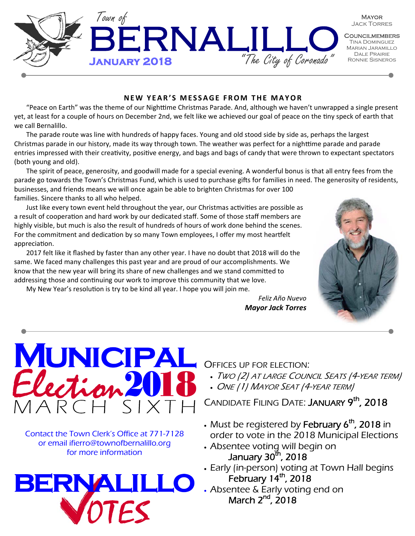

### **NEW YEAR'S MESSAGE FROM THE MAYOR**

"Peace on Earth" was the theme of our Nighttime Christmas Parade. And, although we haven't unwrapped a single present yet, at least for a couple of hours on December 2nd, we felt like we achieved our goal of peace on the tiny speck of earth that we call Bernalillo.

The parade route was line with hundreds of happy faces. Young and old stood side by side as, perhaps the largest Christmas parade in our history, made its way through town. The weather was perfect for a nighttime parade and parade entries impressed with their creativity, positive energy, and bags and bags of candy that were thrown to expectant spectators (both young and old).

The spirit of peace, generosity, and goodwill made for a special evening. A wonderful bonus is that all entry fees from the parade go towards the Town's Christmas Fund, which is used to purchase gifts for families in need. The generosity of residents, businesses, and friends means we will once again be able to brighten Christmas for over 100 families. Sincere thanks to all who helped.

Just like every town event held throughout the year, our Christmas activities are possible as a result of cooperation and hard work by our dedicated staff. Some of those staff members are highly visible, but much is also the result of hundreds of hours of work done behind the scenes. For the commitment and dedication by so many Town employees, I offer my most heartfelt appreciation.

2017 felt like it flashed by faster than any other year. I have no doubt that 2018 will do the same. We faced many challenges this past year and are proud of our accomplishments. We know that the new year will bring its share of new challenges and we stand committed to addressing those and continuing our work to improve this community that we love.

My New Year's resolution is try to be kind all year. I hope you will join me.



*Feliz Año Nuevo Mayor Jack Torres* 



Contact the Town Clerk's Office at 771-7128 or email ifierro@townofbernalillo.org for more information



OFFICES UP FOR ELECTION:

- TWO (2) AT LARGE COUNCIL SEATS (4-YEAR TERM)
- ONE (1) MAYOR SEAT (4-YEAR TERM)

CANDIDATE FILING DATE: JANUARY 9<sup>th</sup>, 2018

- Must be registered by February  $6<sup>th</sup>$ , 2018 in order to vote in the 2018 Municipal Elections • Absentee voting will begin on
- January  $30^{\text{th}}$ , 2018
- Early (in-person) voting at Town Hall begins February 14<sup>th</sup>, 2018
- Absentee & Early voting end on March  $2^{nd}$ ,  $2018$